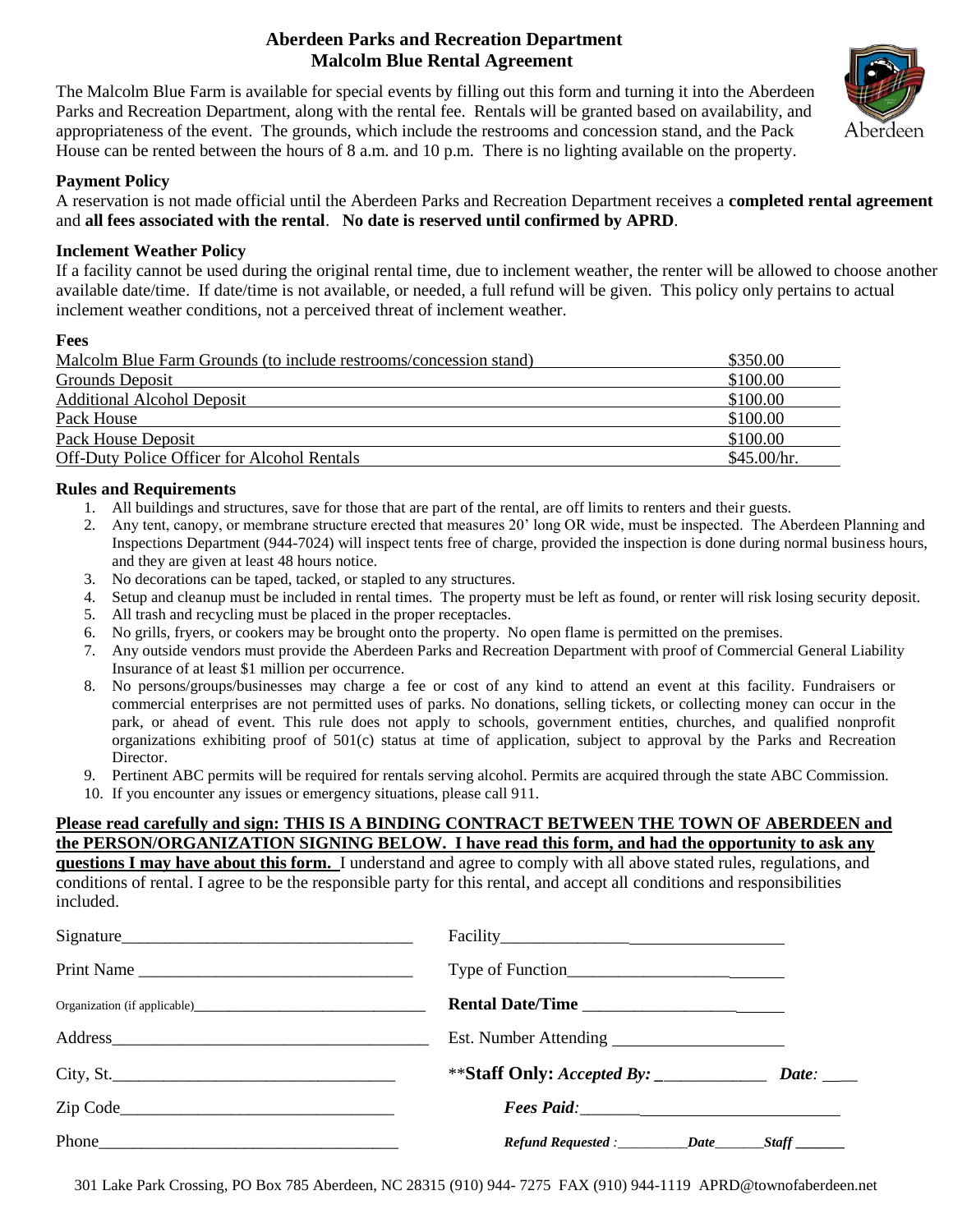# **Aberdeen Parks and Recreation Department Malcolm Blue Rental Agreement**



The Malcolm Blue Farm is available for special events by filling out this form and turning it into the Aberdeen Parks and Recreation Department, along with the rental fee. Rentals will be granted based on availability, and appropriateness of the event. The grounds, which include the restrooms and concession stand, and the Pack House can be rented between the hours of 8 a.m. and 10 p.m. There is no lighting available on the property.

### **Payment Policy**

A reservation is not made official until the Aberdeen Parks and Recreation Department receives a **completed rental agreement**  and **all fees associated with the rental**. **No date is reserved until confirmed by APRD**.

### **Inclement Weather Policy**

If a facility cannot be used during the original rental time, due to inclement weather, the renter will be allowed to choose another available date/time. If date/time is not available, or needed, a full refund will be given. This policy only pertains to actual inclement weather conditions, not a perceived threat of inclement weather.

#### **Fees**

| Malcolm Blue Farm Grounds (to include restrooms/concession stand) | \$350.00    |
|-------------------------------------------------------------------|-------------|
| Grounds Deposit                                                   | \$100.00    |
| <b>Additional Alcohol Deposit</b>                                 | \$100.00    |
| Pack House                                                        | \$100.00    |
| Pack House Deposit                                                | \$100.00    |
| <b>Off-Duty Police Officer for Alcohol Rentals</b>                | \$45.00/hr. |

### **Rules and Requirements**

- 1. All buildings and structures, save for those that are part of the rental, are off limits to renters and their guests.
- 2. Any tent, canopy, or membrane structure erected that measures 20' long OR wide, must be inspected. The Aberdeen Planning and Inspections Department (944-7024) will inspect tents free of charge, provided the inspection is done during normal business hours, and they are given at least 48 hours notice.
- 3. No decorations can be taped, tacked, or stapled to any structures.
- 4. Setup and cleanup must be included in rental times. The property must be left as found, or renter will risk losing security deposit.
- 5. All trash and recycling must be placed in the proper receptacles.
- 6. No grills, fryers, or cookers may be brought onto the property. No open flame is permitted on the premises.
- 7. Any outside vendors must provide the Aberdeen Parks and Recreation Department with proof of Commercial General Liability Insurance of at least \$1 million per occurrence.
- 8. No persons/groups/businesses may charge a fee or cost of any kind to attend an event at this facility. Fundraisers or commercial enterprises are not permitted uses of parks. No donations, selling tickets, or collecting money can occur in the park, or ahead of event. This rule does not apply to schools, government entities, churches, and qualified nonprofit organizations exhibiting proof of 501(c) status at time of application, subject to approval by the Parks and Recreation Director.
- 9. Pertinent ABC permits will be required for rentals serving alcohol. Permits are acquired through the state ABC Commission.
- 10. If you encounter any issues or emergency situations, please call 911.

#### **Please read carefully and sign: THIS IS A BINDING CONTRACT BETWEEN THE TOWN OF ABERDEEN and the PERSON/ORGANIZATION SIGNING BELOW. I have read this form, and had the opportunity to ask any**

**questions I may have about this form.** I understand and agree to comply with all above stated rules, regulations, and conditions of rental. I agree to be the responsible party for this rental, and accept all conditions and responsibilities included.

| Signature  | Facility                                                    |  |
|------------|-------------------------------------------------------------|--|
| Print Name |                                                             |  |
|            | Rental Date/Time                                            |  |
|            |                                                             |  |
| City, St.  |                                                             |  |
|            |                                                             |  |
| Phone      | Refund Requested : ____________Date _________Staff ________ |  |

301 Lake Park Crossing, PO Box 785 Aberdeen, NC 28315 (910) 944- 7275 FAX (910) 944-1119 APRD@townofaberdeen.net